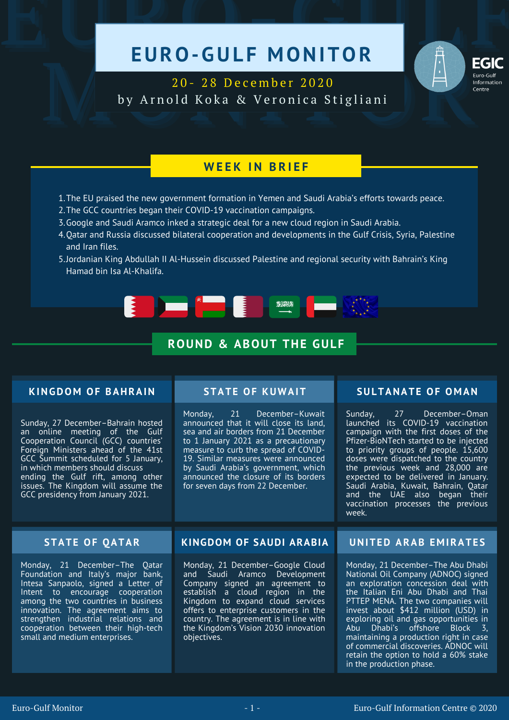# EURO-GULF MONITOR



EGIC<br>
20 - 28 December 2020<br>
by Arnold Koka & Veronica Stigliani 2 0 - 2 8 D e c e m b e r 2 0 2 0 by Arnold Koka & Veronica Stigliani

# **W E E K I N B R I E F**

- The EU praised the new government formation in Yemen and Saudi Arabia's efforts towards peace. 1.
- 2. The GCC countries began their COVID-19 vaccination campaigns.
- Google and Saudi Aramco inked a strategic deal for a new cloud region in Saudi Arabia. 3.
- Qatar and Russia discussed bilateral cooperation and developments in the Gulf Crisis, Syria, Palestine 4. and Iran files.
- Jordanian King Abdullah II Al-Hussein discussed Palestine and regional security with Bahrain's King 5.Hamad bin Isa Al-Khalifa.



# **ROUND & ABOUT THE GULF**

## **KINGDOM OF BAHRAIN**

Sunday, 27 December–Bahrain hosted an online meeting of the Gulf Cooperation Council (GCC) countries' Foreign Ministers ahead of the 41st GCC Summit scheduled for 5 January, in which members should discuss ending the Gulf rift, among other issues. The Kingdom will assume the GCC presidency from January 2021.

Monday, 21 December–Kuwait announced that it will close its land, sea and air borders from 21 December to 1 January 2021 as a precautionary measure to curb the spread of COVID-19. Similar measures were announced by Saudi Arabia's government, which announced the closure of its borders for seven days from 22 December.

# **STATE OF KUWAIT SULTANATE OF O M AN**

Sunday, 27 December–Oman launched its COVID-19 vaccination campaign with the first doses of the Pfizer-BioNTech started to be injected to priority groups of people. 15,600 doses were dispatched to the country the previous week and 28,000 are expected to be delivered in January. Saudi Arabia, Kuwait, Bahrain, Qatar and the UAE also began their vaccination processes the previous week.

Monday, 21 December–The Qatar Foundation and Italy's major bank, Intesa Sanpaolo, signed a Letter of Intent to encourage cooperation among the two countries in business innovation. The agreement aims to strengthen industrial relations and cooperation between their high-tech small and medium enterprises.

## **STATE OF QATAR KINGDOM OF SAUDI ARABIA UNITED ARAB E M IRATE S**

Monday, 21 December–Google Cloud and Saudi Aramco Development Company signed an agreement to establish a cloud region in the Kingdom to expand cloud services offers to enterprise customers in the country. The agreement is in line with the Kingdom's Vision 2030 innovation objectives.

Monday, 21 December–The Abu Dhabi National Oil Company (ADNOC) signed an exploration concession deal with the Italian Eni Abu Dhabi and Thai PTTEP MENA. The two companies will invest about \$412 million (USD) in exploring oil and gas opportunities in Abu Dhabi's offshore Block 3, maintaining a production right in case of commercial discoveries. ADNOC will retain the option to hold a 60% stake in the production phase.